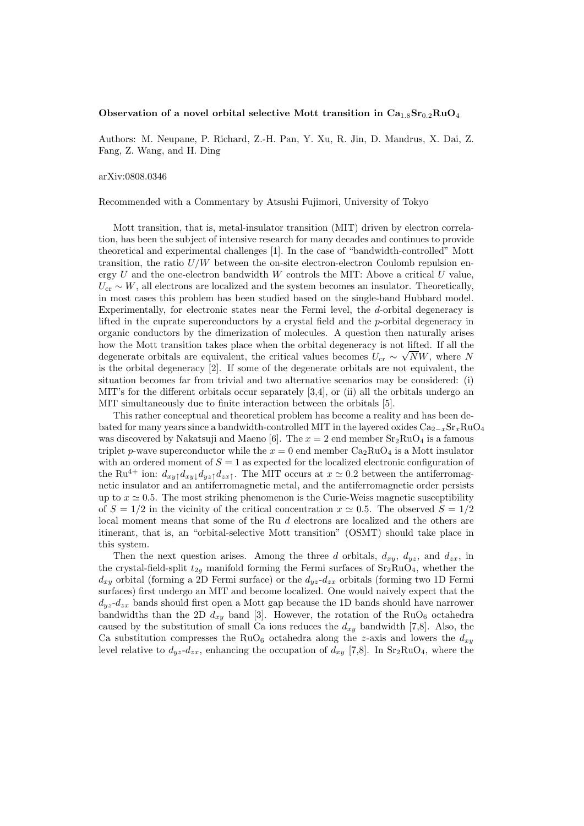## Observation of a novel orbital selective Mott transition in  $Ca_{1.8}Sr_{0.2}RuO_4$

Authors: M. Neupane, P. Richard, Z.-H. Pan, Y. Xu, R. Jin, D. Mandrus, X. Dai, Z. Fang, Z. Wang, and H. Ding

## arXiv:0808.0346

Recommended with a Commentary by Atsushi Fujimori, University of Tokyo

Mott transition, that is, metal-insulator transition (MIT) driven by electron correlation, has been the subject of intensive research for many decades and continues to provide theoretical and experimental challenges [1]. In the case of "bandwidth-controlled" Mott transition, the ratio  $U/W$  between the on-site electron-electron Coulomb repulsion energy  $U$  and the one-electron bandwidth  $W$  controls the MIT: Above a critical  $U$  value,  $U_{\rm cr} \sim W$ , all electrons are localized and the system becomes an insulator. Theoretically, in most cases this problem has been studied based on the single-band Hubbard model. Experimentally, for electronic states near the Fermi level, the d-orbital degeneracy is lifted in the cuprate superconductors by a crystal field and the p-orbital degeneracy in organic conductors by the dimerization of molecules. A question then naturally arises how the Mott transition takes place when the orbital degeneracy is not lifted. If all the degenerate orbitals are equivalent, the critical values becomes  $U_{cr} \sim \sqrt{N}W$ , where N is the orbital degeneracy [2]. If some of the degenerate orbitals are not equivalent, the situation becomes far from trivial and two alternative scenarios may be considered: (i) MIT's for the different orbitals occur separately [3,4], or (ii) all the orbitals undergo an MIT simultaneously due to finite interaction between the orbitals [5].

This rather conceptual and theoretical problem has become a reality and has been debated for many years since a bandwidth-controlled MIT in the layered oxides  $Ca_{2-x}Sr_xRuO_4$ was discovered by Nakatsuji and Maeno [6]. The  $x = 2$  end member  $Sr<sub>2</sub>RuO<sub>4</sub>$  is a famous triplet p-wave superconductor while the  $x = 0$  end member  $Ca<sub>2</sub>RuO<sub>4</sub>$  is a Mott insulator with an ordered moment of  $S = 1$  as expected for the localized electronic configuration of the Ru<sup>4+</sup> ion:  $d_{xy\uparrow}d_{xy\downarrow}d_{yz\uparrow}d_{zx\uparrow}$ . The MIT occurs at  $x \simeq 0.2$  between the antiferromagnetic insulator and an antiferromagnetic metal, and the antiferromagnetic order persists up to  $x \approx 0.5$ . The most striking phenomenon is the Curie-Weiss magnetic susceptibility of  $S = 1/2$  in the vicinity of the critical concentration  $x \approx 0.5$ . The observed  $S = 1/2$ local moment means that some of the Ru d electrons are localized and the others are itinerant, that is, an "orbital-selective Mott transition" (OSMT) should take place in this system.

Then the next question arises. Among the three d orbitals,  $d_{xy}$ ,  $d_{yz}$ , and  $d_{zx}$ , in the crystal-field-split  $t_{2g}$  manifold forming the Fermi surfaces of  $Sr_2RuO_4$ , whether the  $d_{xy}$  orbital (forming a 2D Fermi surface) or the  $d_{yz}$ - $d_{zx}$  orbitals (forming two 1D Fermi surfaces) first undergo an MIT and become localized. One would naively expect that the  $d_{uz}$ - $d_{zx}$  bands should first open a Mott gap because the 1D bands should have narrower bandwidths than the 2D  $d_{xy}$  band [3]. However, the rotation of the RuO<sub>6</sub> octahedra caused by the substitution of small Ca ions reduces the  $d_{xy}$  bandwidth [7,8]. Also, the Ca substitution compresses the RuO<sub>6</sub> octahedra along the z-axis and lowers the  $d_{xy}$ level relative to  $d_{yz}d_{zx}$ , enhancing the occupation of  $d_{xy}$  [7,8]. In Sr<sub>2</sub>RuO<sub>4</sub>, where the